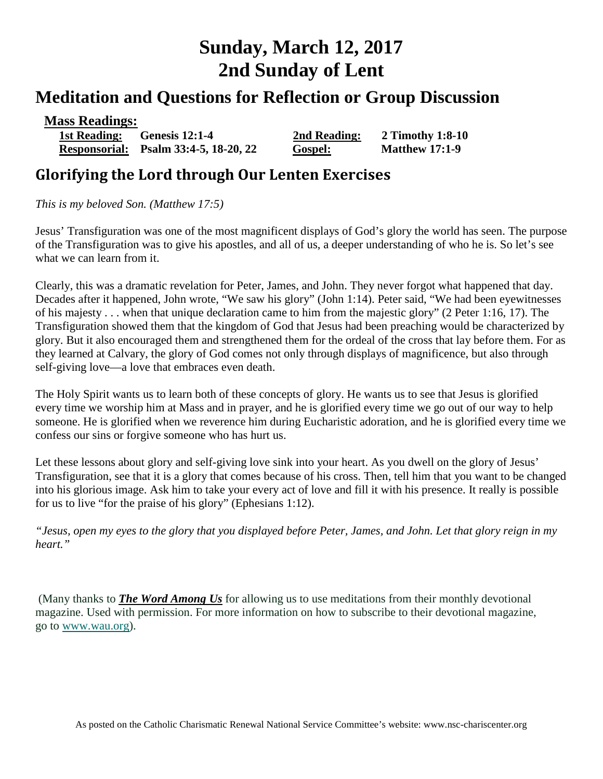# **Sunday, March 12, 2017 2nd Sunday of Lent**

## **Meditation and Questions for Reflection or Group Discussion**

| <b>Mass Readings:</b> |                                       |              |                       |
|-----------------------|---------------------------------------|--------------|-----------------------|
|                       | 1st Reading: Genesis 12:1-4           | 2nd Reading: | 2 Timothy 1:8-10      |
|                       | Responsorial: Psalm 33:4-5, 18-20, 22 | Gospel:      | <b>Matthew 17:1-9</b> |

### **Glorifying the Lord through Our Lenten Exercises**

*This is my beloved Son. (Matthew 17:5)* 

Jesus' Transfiguration was one of the most magnificent displays of God's glory the world has seen. The purpose of the Transfiguration was to give his apostles, and all of us, a deeper understanding of who he is. So let's see what we can learn from it.

Clearly, this was a dramatic revelation for Peter, James, and John. They never forgot what happened that day. Decades after it happened, John wrote, "We saw his glory" (John 1:14). Peter said, "We had been eyewitnesses of his majesty . . . when that unique declaration came to him from the majestic glory" (2 Peter 1:16, 17). The Transfiguration showed them that the kingdom of God that Jesus had been preaching would be characterized by glory. But it also encouraged them and strengthened them for the ordeal of the cross that lay before them. For as they learned at Calvary, the glory of God comes not only through displays of magnificence, but also through self-giving love—a love that embraces even death.

The Holy Spirit wants us to learn both of these concepts of glory. He wants us to see that Jesus is glorified every time we worship him at Mass and in prayer, and he is glorified every time we go out of our way to help someone. He is glorified when we reverence him during Eucharistic adoration, and he is glorified every time we confess our sins or forgive someone who has hurt us.

Let these lessons about glory and self-giving love sink into your heart. As you dwell on the glory of Jesus' Transfiguration, see that it is a glory that comes because of his cross. Then, tell him that you want to be changed into his glorious image. Ask him to take your every act of love and fill it with his presence. It really is possible for us to live "for the praise of his glory" (Ephesians 1:12).

*"Jesus, open my eyes to the glory that you displayed before Peter, James, and John. Let that glory reign in my heart."*

(Many thanks to *[The Word Among Us](http://www.wau.org/)* for allowing us to use meditations from their monthly devotional magazine. Used with permission. For more information on how to subscribe to their devotional magazine, go to [www.wau.org\)](http://www.wau.org/).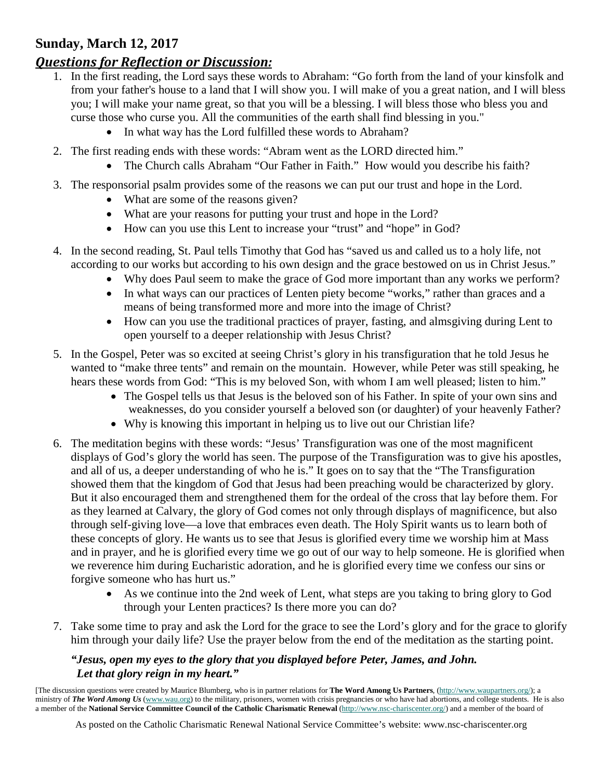#### **Sunday, March 12, 2017**

#### *Questions for Reflection or Discussion:*

- 1. In the first reading, the Lord says these words to Abraham: "Go forth from the land of your kinsfolk and from your father's house to a land that I will show you. I will make of you a great nation, and I will bless you; I will make your name great, so that you will be a blessing. I will bless those who bless you and curse those who curse you. All the communities of the earth shall find blessing in you."
	- In what way has the Lord fulfilled these words to Abraham?
- 2. The first reading ends with these words: "Abram went as the LORD directed him."
	- The Church calls Abraham "Our Father in Faith." How would you describe his faith?
- 3. The responsorial psalm provides some of the reasons we can put our trust and hope in the Lord.
	- What are some of the reasons given?
	- What are your reasons for putting your trust and hope in the Lord?
	- How can you use this Lent to increase your "trust" and "hope" in God?
- 4. In the second reading, St. Paul tells Timothy that God has "saved us and called us to a holy life, not according to our works but according to his own design and the grace bestowed on us in Christ Jesus."
	- Why does Paul seem to make the grace of God more important than any works we perform?
	- In what ways can our practices of Lenten piety become "works," rather than graces and a means of being transformed more and more into the image of Christ?
	- How can you use the traditional practices of prayer, fasting, and almsgiving during Lent to open yourself to a deeper relationship with Jesus Christ?
- 5. In the Gospel, Peter was so excited at seeing Christ's glory in his transfiguration that he told Jesus he wanted to "make three tents" and remain on the mountain. However, while Peter was still speaking, he hears these words from God: "This is my beloved Son, with whom I am well pleased; listen to him."
	- The Gospel tells us that Jesus is the beloved son of his Father. In spite of your own sins and weaknesses, do you consider yourself a beloved son (or daughter) of your heavenly Father?
	- Why is knowing this important in helping us to live out our Christian life?
- 6. The meditation begins with these words: "Jesus' Transfiguration was one of the most magnificent displays of God's glory the world has seen. The purpose of the Transfiguration was to give his apostles, and all of us, a deeper understanding of who he is." It goes on to say that the "The Transfiguration showed them that the kingdom of God that Jesus had been preaching would be characterized by glory. But it also encouraged them and strengthened them for the ordeal of the cross that lay before them. For as they learned at Calvary, the glory of God comes not only through displays of magnificence, but also through self-giving love—a love that embraces even death. The Holy Spirit wants us to learn both of these concepts of glory. He wants us to see that Jesus is glorified every time we worship him at Mass and in prayer, and he is glorified every time we go out of our way to help someone. He is glorified when we reverence him during Eucharistic adoration, and he is glorified every time we confess our sins or forgive someone who has hurt us."
	- As we continue into the 2nd week of Lent, what steps are you taking to bring glory to God through your Lenten practices? Is there more you can do?
- 7. Take some time to pray and ask the Lord for the grace to see the Lord's glory and for the grace to glorify him through your daily life? Use the prayer below from the end of the meditation as the starting point.

#### *"Jesus, open my eyes to the glory that you displayed before Peter, James, and John. Let that glory reign in my heart."*

[The discussion questions were created by Maurice Blumberg, who is in partner relations for **The Word Among Us Partners**, [\(http://www.waupartners.org/\)](http://www2.wau.org/partners/); a ministry of *The Word Among Us* [\(www.wau.org\)](http://www.wau.org/) to the military, prisoners, women with crisis pregnancies or who have had abortions, and college students. He is also a member of the **National Service Committee Council of the Catholic Charismatic Renewal** [\(http://www.nsc-chariscenter.org/\)](http://www.nsc-chariscenter.org/) and a member of the board of

As posted on the Catholic Charismatic Renewal National Service Committee's website: www.nsc-chariscenter.org